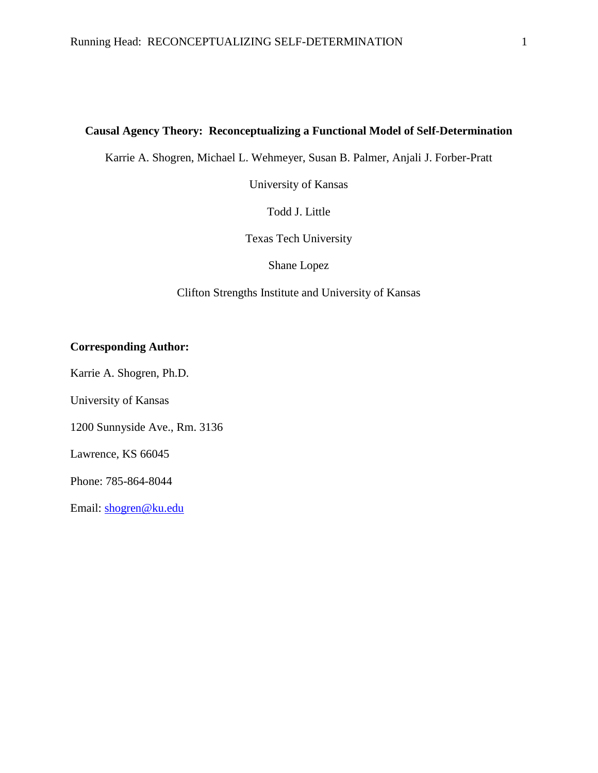## **Causal Agency Theory: Reconceptualizing a Functional Model of Self-Determination**

Karrie A. Shogren, Michael L. Wehmeyer, Susan B. Palmer, Anjali J. Forber-Pratt

University of Kansas

Todd J. Little

Texas Tech University

Shane Lopez

Clifton Strengths Institute and University of Kansas

#### **Corresponding Author:**

Karrie A. Shogren, Ph.D.

University of Kansas

1200 Sunnyside Ave., Rm. 3136

Lawrence, KS 66045

Phone: 785-864-8044

Email: [shogren@ku.edu](mailto:shogren@ku.edu)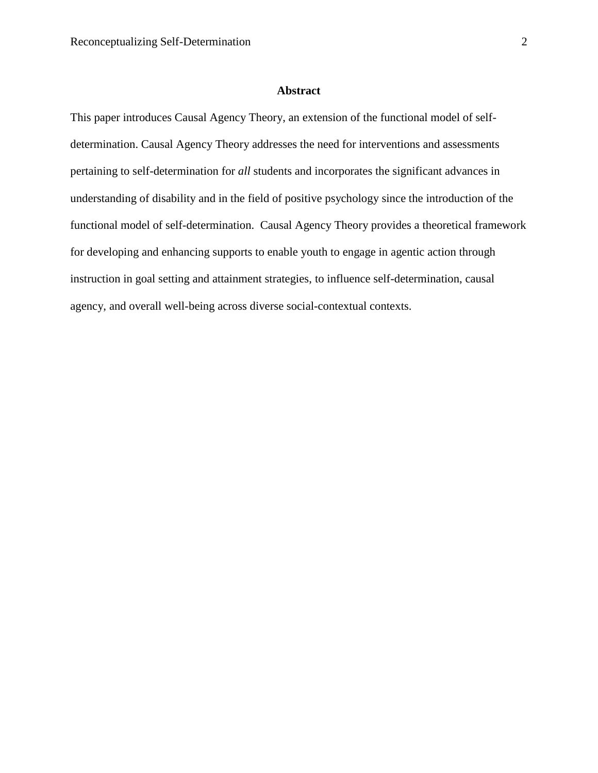#### **Abstract**

This paper introduces Causal Agency Theory, an extension of the functional model of selfdetermination. Causal Agency Theory addresses the need for interventions and assessments pertaining to self-determination for *all* students and incorporates the significant advances in understanding of disability and in the field of positive psychology since the introduction of the functional model of self-determination. Causal Agency Theory provides a theoretical framework for developing and enhancing supports to enable youth to engage in agentic action through instruction in goal setting and attainment strategies, to influence self-determination, causal agency, and overall well-being across diverse social-contextual contexts.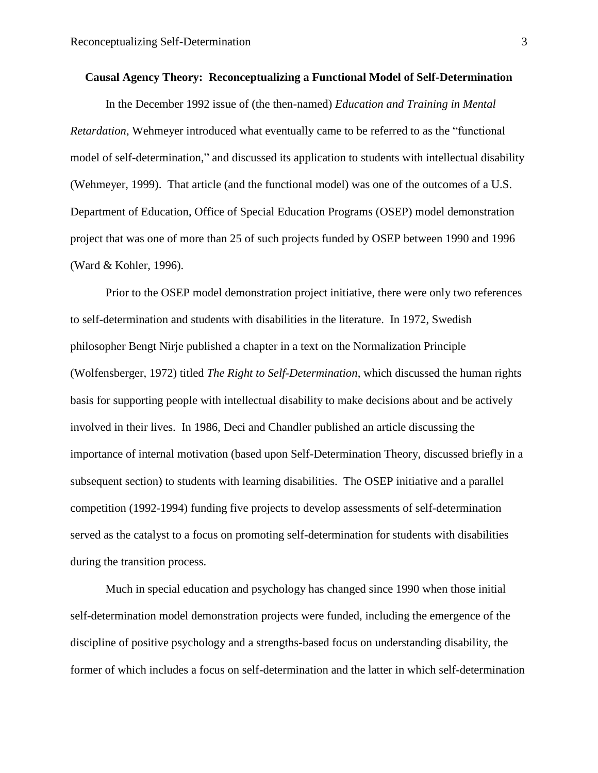#### **Causal Agency Theory: Reconceptualizing a Functional Model of Self-Determination**

In the December 1992 issue of (the then-named) *Education and Training in Mental Retardation*, Wehmeyer introduced what eventually came to be referred to as the "functional model of self-determination," and discussed its application to students with intellectual disability (Wehmeyer, 1999). That article (and the functional model) was one of the outcomes of a U.S. Department of Education, Office of Special Education Programs (OSEP) model demonstration project that was one of more than 25 of such projects funded by OSEP between 1990 and 1996 (Ward & Kohler, 1996).

Prior to the OSEP model demonstration project initiative, there were only two references to self-determination and students with disabilities in the literature. In 1972, Swedish philosopher Bengt Nirje published a chapter in a text on the Normalization Principle (Wolfensberger, 1972) titled *The Right to Self-Determination*, which discussed the human rights basis for supporting people with intellectual disability to make decisions about and be actively involved in their lives. In 1986, Deci and Chandler published an article discussing the importance of internal motivation (based upon Self-Determination Theory, discussed briefly in a subsequent section) to students with learning disabilities. The OSEP initiative and a parallel competition (1992-1994) funding five projects to develop assessments of self-determination served as the catalyst to a focus on promoting self-determination for students with disabilities during the transition process.

Much in special education and psychology has changed since 1990 when those initial self-determination model demonstration projects were funded, including the emergence of the discipline of positive psychology and a strengths-based focus on understanding disability, the former of which includes a focus on self-determination and the latter in which self-determination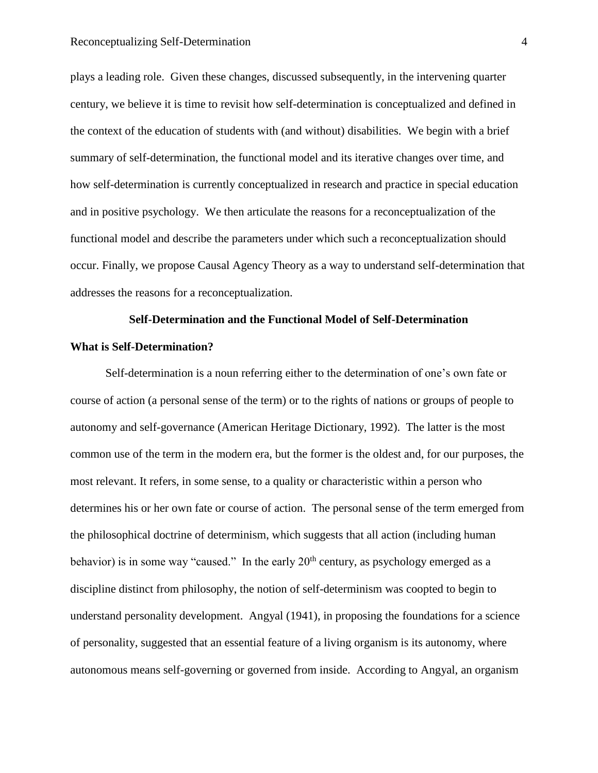plays a leading role. Given these changes, discussed subsequently, in the intervening quarter century, we believe it is time to revisit how self-determination is conceptualized and defined in the context of the education of students with (and without) disabilities. We begin with a brief summary of self-determination, the functional model and its iterative changes over time, and how self-determination is currently conceptualized in research and practice in special education and in positive psychology. We then articulate the reasons for a reconceptualization of the functional model and describe the parameters under which such a reconceptualization should occur. Finally, we propose Causal Agency Theory as a way to understand self-determination that addresses the reasons for a reconceptualization.

### **Self-Determination and the Functional Model of Self-Determination**

#### **What is Self-Determination?**

Self-determination is a noun referring either to the determination of one's own fate or course of action (a personal sense of the term) or to the rights of nations or groups of people to autonomy and self-governance (American Heritage Dictionary, 1992). The latter is the most common use of the term in the modern era, but the former is the oldest and, for our purposes, the most relevant. It refers, in some sense, to a quality or characteristic within a person who determines his or her own fate or course of action. The personal sense of the term emerged from the philosophical doctrine of determinism, which suggests that all action (including human behavior) is in some way "caused." In the early  $20<sup>th</sup>$  century, as psychology emerged as a discipline distinct from philosophy, the notion of self-determinism was coopted to begin to understand personality development. Angyal (1941), in proposing the foundations for a science of personality, suggested that an essential feature of a living organism is its autonomy, where autonomous means self-governing or governed from inside. According to Angyal, an organism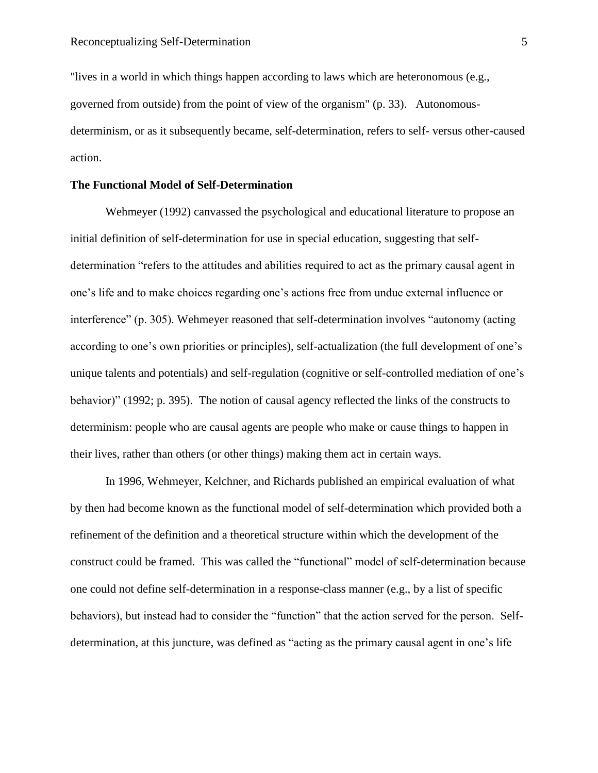"lives in a world in which things happen according to laws which are heteronomous (e.g., governed from outside) from the point of view of the organism" (p. 33). Autonomousdeterminism, or as it subsequently became, self-determination, refers to self- versus other-caused action.

#### **The Functional Model of Self-Determination**

Wehmeyer (1992) canvassed the psychological and educational literature to propose an initial definition of self-determination for use in special education, suggesting that selfdetermination "refers to the attitudes and abilities required to act as the primary causal agent in one's life and to make choices regarding one's actions free from undue external influence or interference" (p. 305). Wehmeyer reasoned that self-determination involves "autonomy (acting according to one's own priorities or principles), self-actualization (the full development of one's unique talents and potentials) and self-regulation (cognitive or self-controlled mediation of one's behavior)" (1992; p. 395). The notion of causal agency reflected the links of the constructs to determinism: people who are causal agents are people who make or cause things to happen in their lives, rather than others (or other things) making them act in certain ways.

In 1996, Wehmeyer, Kelchner, and Richards published an empirical evaluation of what by then had become known as the functional model of self-determination which provided both a refinement of the definition and a theoretical structure within which the development of the construct could be framed. This was called the "functional" model of self-determination because one could not define self-determination in a response-class manner (e.g., by a list of specific behaviors), but instead had to consider the "function" that the action served for the person. Selfdetermination, at this juncture, was defined as "acting as the primary causal agent in one's life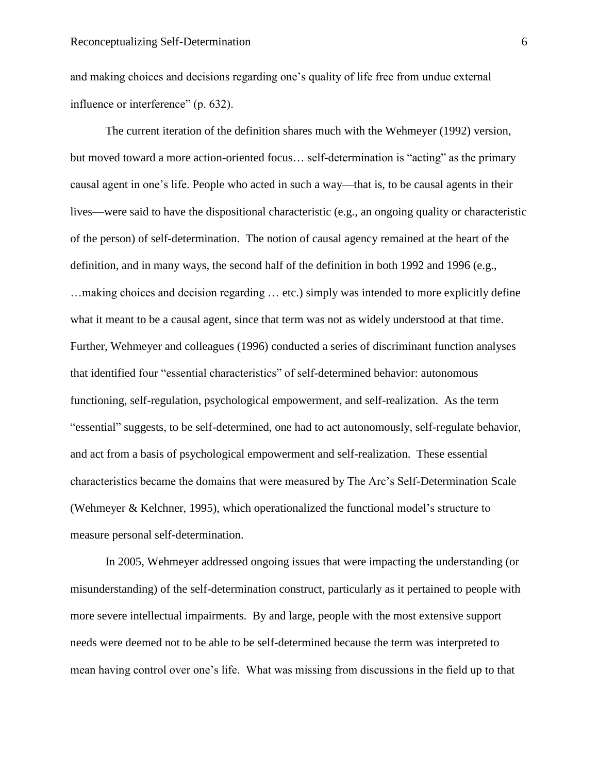and making choices and decisions regarding one's quality of life free from undue external influence or interference" (p. 632).

The current iteration of the definition shares much with the Wehmeyer (1992) version, but moved toward a more action-oriented focus… self-determination is "acting" as the primary causal agent in one's life. People who acted in such a way—that is, to be causal agents in their lives—were said to have the dispositional characteristic (e.g., an ongoing quality or characteristic of the person) of self-determination. The notion of causal agency remained at the heart of the definition, and in many ways, the second half of the definition in both 1992 and 1996 (e.g., …making choices and decision regarding … etc.) simply was intended to more explicitly define what it meant to be a causal agent, since that term was not as widely understood at that time. Further, Wehmeyer and colleagues (1996) conducted a series of discriminant function analyses that identified four "essential characteristics" of self-determined behavior: autonomous functioning, self-regulation, psychological empowerment, and self-realization. As the term "essential" suggests, to be self-determined, one had to act autonomously, self-regulate behavior, and act from a basis of psychological empowerment and self-realization. These essential characteristics became the domains that were measured by The Arc's Self-Determination Scale (Wehmeyer & Kelchner, 1995), which operationalized the functional model's structure to measure personal self-determination.

In 2005, Wehmeyer addressed ongoing issues that were impacting the understanding (or misunderstanding) of the self-determination construct, particularly as it pertained to people with more severe intellectual impairments. By and large, people with the most extensive support needs were deemed not to be able to be self-determined because the term was interpreted to mean having control over one's life. What was missing from discussions in the field up to that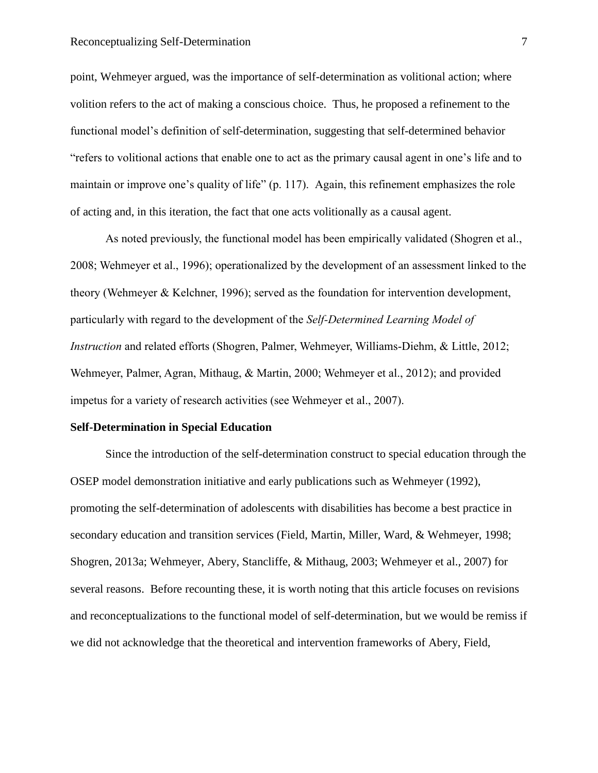#### Reconceptualizing Self-Determination 7

point, Wehmeyer argued, was the importance of self-determination as volitional action; where volition refers to the act of making a conscious choice. Thus, he proposed a refinement to the functional model's definition of self-determination, suggesting that self-determined behavior "refers to volitional actions that enable one to act as the primary causal agent in one's life and to maintain or improve one's quality of life" (p. 117). Again, this refinement emphasizes the role of acting and, in this iteration, the fact that one acts volitionally as a causal agent.

As noted previously, the functional model has been empirically validated (Shogren et al., 2008; Wehmeyer et al., 1996); operationalized by the development of an assessment linked to the theory (Wehmeyer & Kelchner, 1996); served as the foundation for intervention development, particularly with regard to the development of the *Self-Determined Learning Model of Instruction* and related efforts (Shogren, Palmer, Wehmeyer, Williams-Diehm, & Little, 2012; Wehmeyer, Palmer, Agran, Mithaug, & Martin, 2000; Wehmeyer et al., 2012); and provided impetus for a variety of research activities (see Wehmeyer et al., 2007).

#### **Self-Determination in Special Education**

Since the introduction of the self-determination construct to special education through the OSEP model demonstration initiative and early publications such as Wehmeyer (1992), promoting the self-determination of adolescents with disabilities has become a best practice in secondary education and transition services (Field, Martin, Miller, Ward, & Wehmeyer, 1998; Shogren, 2013a; Wehmeyer, Abery, Stancliffe, & Mithaug, 2003; Wehmeyer et al., 2007) for several reasons. Before recounting these, it is worth noting that this article focuses on revisions and reconceptualizations to the functional model of self-determination, but we would be remiss if we did not acknowledge that the theoretical and intervention frameworks of Abery, Field,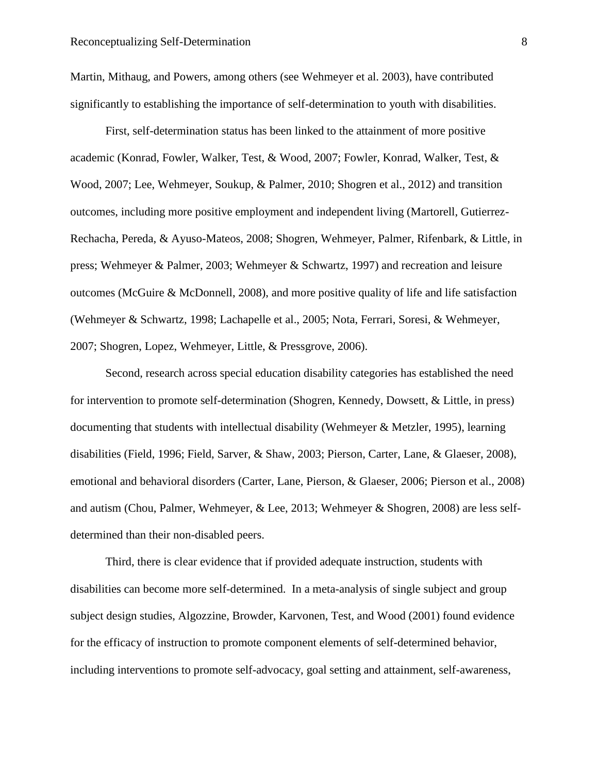Martin, Mithaug, and Powers, among others (see Wehmeyer et al. 2003), have contributed significantly to establishing the importance of self-determination to youth with disabilities.

First, self-determination status has been linked to the attainment of more positive academic (Konrad, Fowler, Walker, Test, & Wood, 2007; Fowler, Konrad, Walker, Test, & Wood, 2007; Lee, Wehmeyer, Soukup, & Palmer, 2010; Shogren et al., 2012) and transition outcomes, including more positive employment and independent living (Martorell, Gutierrez-Rechacha, Pereda, & Ayuso-Mateos, 2008; Shogren, Wehmeyer, Palmer, Rifenbark, & Little, in press; Wehmeyer & Palmer, 2003; Wehmeyer & Schwartz, 1997) and recreation and leisure outcomes (McGuire & McDonnell, 2008), and more positive quality of life and life satisfaction (Wehmeyer & Schwartz, 1998; Lachapelle et al., 2005; Nota, Ferrari, Soresi, & Wehmeyer, 2007; Shogren, Lopez, Wehmeyer, Little, & Pressgrove, 2006).

Second, research across special education disability categories has established the need for intervention to promote self-determination (Shogren, Kennedy, Dowsett, & Little, in press) documenting that students with intellectual disability (Wehmeyer & Metzler, 1995), learning disabilities (Field, 1996; Field, Sarver, & Shaw, 2003; Pierson, Carter, Lane, & Glaeser, 2008), emotional and behavioral disorders (Carter, Lane, Pierson, & Glaeser, 2006; Pierson et al., 2008) and autism (Chou, Palmer, Wehmeyer, & Lee, 2013; Wehmeyer & Shogren, 2008) are less selfdetermined than their non-disabled peers.

Third, there is clear evidence that if provided adequate instruction, students with disabilities can become more self-determined. In a meta-analysis of single subject and group subject design studies, Algozzine, Browder, Karvonen, Test, and Wood (2001) found evidence for the efficacy of instruction to promote component elements of self-determined behavior, including interventions to promote self-advocacy, goal setting and attainment, self-awareness,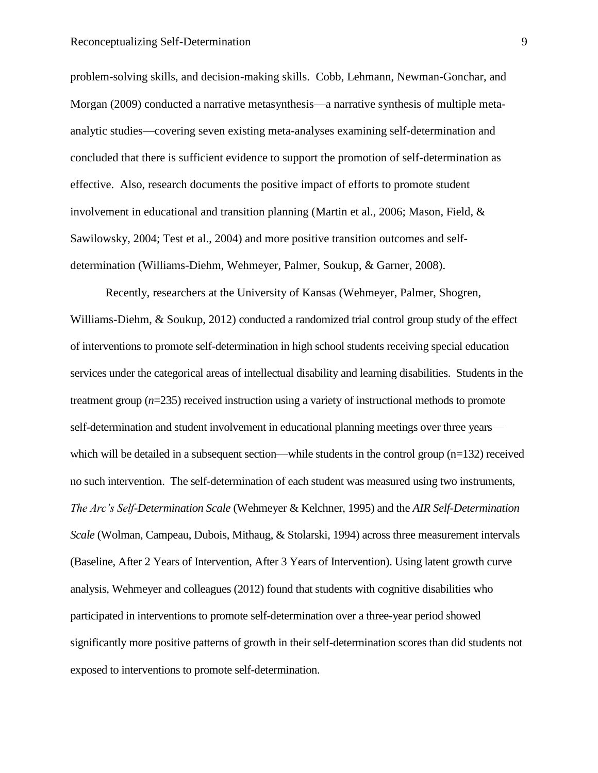problem-solving skills, and decision-making skills. Cobb, Lehmann, Newman-Gonchar, and Morgan (2009) conducted a narrative metasynthesis—a narrative synthesis of multiple metaanalytic studies—covering seven existing meta-analyses examining self-determination and concluded that there is sufficient evidence to support the promotion of self-determination as effective. Also, research documents the positive impact of efforts to promote student involvement in educational and transition planning (Martin et al., 2006; Mason, Field, & Sawilowsky, 2004; Test et al., 2004) and more positive transition outcomes and selfdetermination (Williams-Diehm, Wehmeyer, Palmer, Soukup, & Garner, 2008).

Recently, researchers at the University of Kansas (Wehmeyer, Palmer, Shogren, Williams-Diehm, & Soukup, 2012) conducted a randomized trial control group study of the effect of interventions to promote self-determination in high school students receiving special education services under the categorical areas of intellectual disability and learning disabilities. Students in the treatment group (*n*=235) received instruction using a variety of instructional methods to promote self-determination and student involvement in educational planning meetings over three years which will be detailed in a subsequent section—while students in the control group (n=132) received no such intervention. The self-determination of each student was measured using two instruments, *The Arc's Self-Determination Scale* (Wehmeyer & Kelchner, 1995) and the *AIR Self-Determination Scale* (Wolman, Campeau, Dubois, Mithaug, & Stolarski, 1994) across three measurement intervals (Baseline, After 2 Years of Intervention, After 3 Years of Intervention). Using latent growth curve analysis, Wehmeyer and colleagues (2012) found that students with cognitive disabilities who participated in interventions to promote self-determination over a three-year period showed significantly more positive patterns of growth in their self-determination scores than did students not exposed to interventions to promote self-determination.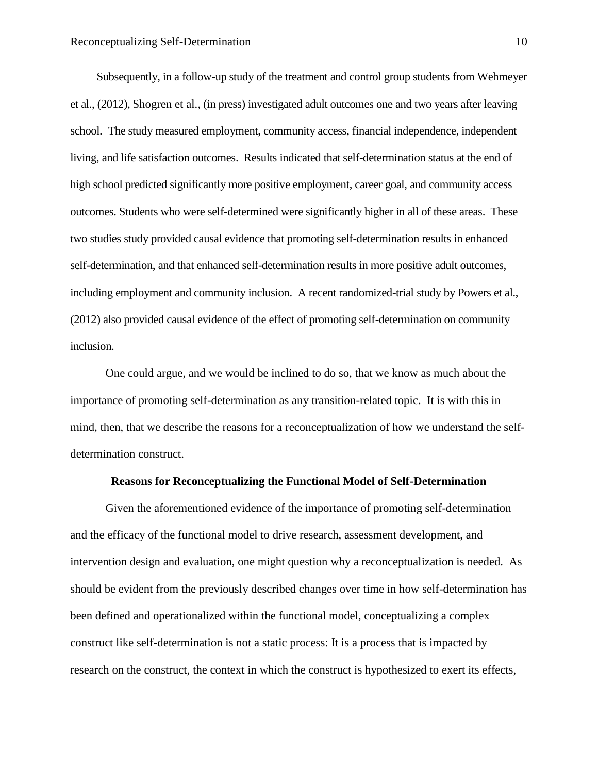Subsequently, in a follow-up study of the treatment and control group students from Wehmeyer et al., (2012), Shogren et al., (in press) investigated adult outcomes one and two years after leaving school. The study measured employment, community access, financial independence, independent living, and life satisfaction outcomes. Results indicated that self-determination status at the end of high school predicted significantly more positive employment, career goal, and community access outcomes. Students who were self-determined were significantly higher in all of these areas. These two studies study provided causal evidence that promoting self-determination results in enhanced self-determination, and that enhanced self-determination results in more positive adult outcomes, including employment and community inclusion. A recent randomized-trial study by Powers et al., (2012) also provided causal evidence of the effect of promoting self-determination on community inclusion.

One could argue, and we would be inclined to do so, that we know as much about the importance of promoting self-determination as any transition-related topic. It is with this in mind, then, that we describe the reasons for a reconceptualization of how we understand the selfdetermination construct.

#### **Reasons for Reconceptualizing the Functional Model of Self-Determination**

Given the aforementioned evidence of the importance of promoting self-determination and the efficacy of the functional model to drive research, assessment development, and intervention design and evaluation, one might question why a reconceptualization is needed. As should be evident from the previously described changes over time in how self-determination has been defined and operationalized within the functional model, conceptualizing a complex construct like self-determination is not a static process: It is a process that is impacted by research on the construct, the context in which the construct is hypothesized to exert its effects,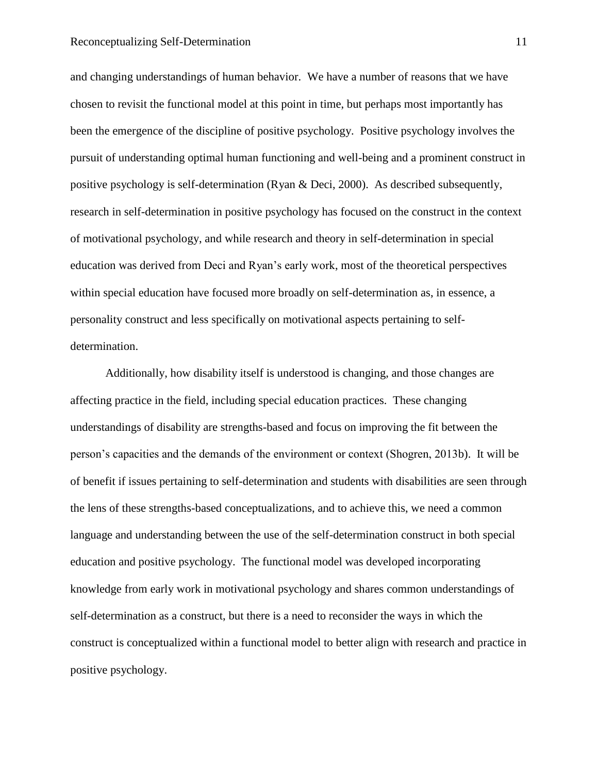#### Reconceptualizing Self-Determination 11

and changing understandings of human behavior. We have a number of reasons that we have chosen to revisit the functional model at this point in time, but perhaps most importantly has been the emergence of the discipline of positive psychology. Positive psychology involves the pursuit of understanding optimal human functioning and well-being and a prominent construct in positive psychology is self-determination (Ryan & Deci, 2000). As described subsequently, research in self-determination in positive psychology has focused on the construct in the context of motivational psychology, and while research and theory in self-determination in special education was derived from Deci and Ryan's early work, most of the theoretical perspectives within special education have focused more broadly on self-determination as, in essence, a personality construct and less specifically on motivational aspects pertaining to selfdetermination.

Additionally, how disability itself is understood is changing, and those changes are affecting practice in the field, including special education practices. These changing understandings of disability are strengths-based and focus on improving the fit between the person's capacities and the demands of the environment or context (Shogren, 2013b). It will be of benefit if issues pertaining to self-determination and students with disabilities are seen through the lens of these strengths-based conceptualizations, and to achieve this, we need a common language and understanding between the use of the self-determination construct in both special education and positive psychology. The functional model was developed incorporating knowledge from early work in motivational psychology and shares common understandings of self-determination as a construct, but there is a need to reconsider the ways in which the construct is conceptualized within a functional model to better align with research and practice in positive psychology.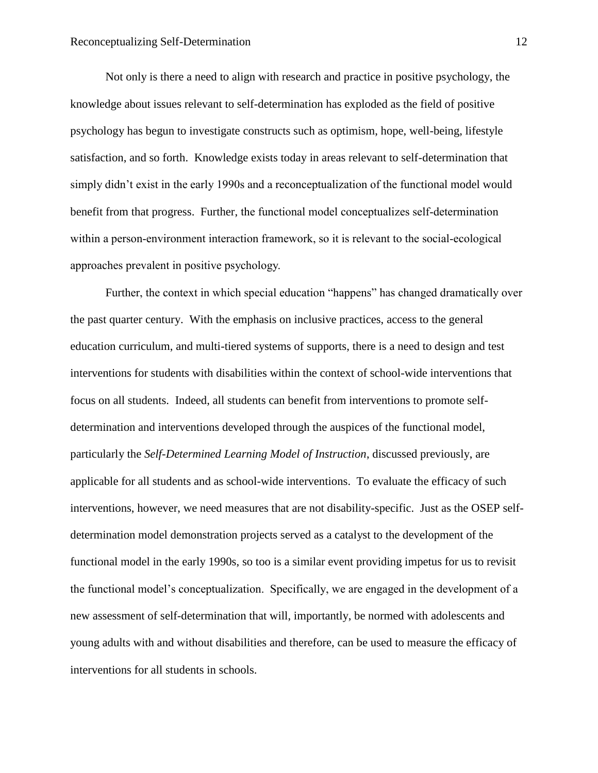Not only is there a need to align with research and practice in positive psychology, the knowledge about issues relevant to self-determination has exploded as the field of positive psychology has begun to investigate constructs such as optimism, hope, well-being, lifestyle satisfaction, and so forth. Knowledge exists today in areas relevant to self-determination that simply didn't exist in the early 1990s and a reconceptualization of the functional model would benefit from that progress. Further, the functional model conceptualizes self-determination within a person-environment interaction framework, so it is relevant to the social-ecological approaches prevalent in positive psychology.

Further, the context in which special education "happens" has changed dramatically over the past quarter century. With the emphasis on inclusive practices, access to the general education curriculum, and multi-tiered systems of supports, there is a need to design and test interventions for students with disabilities within the context of school-wide interventions that focus on all students. Indeed, all students can benefit from interventions to promote selfdetermination and interventions developed through the auspices of the functional model, particularly the *Self-Determined Learning Model of Instruction*, discussed previously, are applicable for all students and as school-wide interventions. To evaluate the efficacy of such interventions, however, we need measures that are not disability-specific. Just as the OSEP selfdetermination model demonstration projects served as a catalyst to the development of the functional model in the early 1990s, so too is a similar event providing impetus for us to revisit the functional model's conceptualization. Specifically, we are engaged in the development of a new assessment of self-determination that will, importantly, be normed with adolescents and young adults with and without disabilities and therefore, can be used to measure the efficacy of interventions for all students in schools.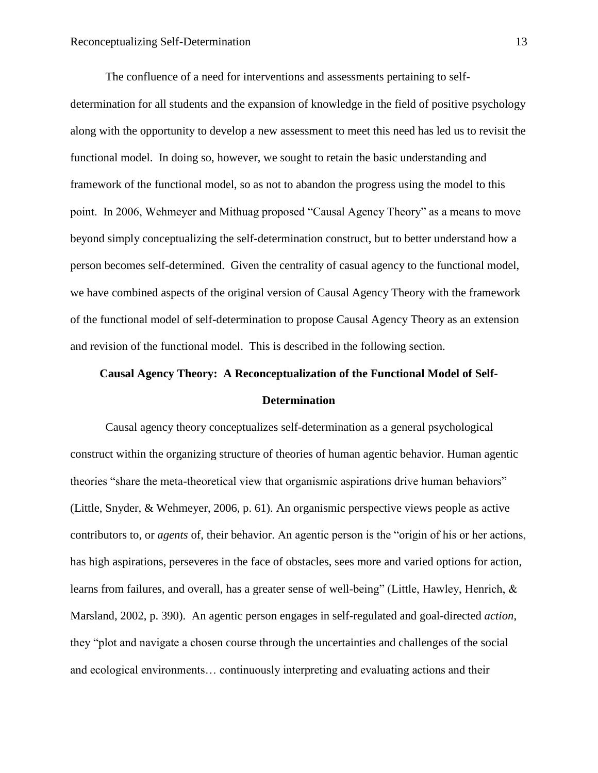The confluence of a need for interventions and assessments pertaining to self-

determination for all students and the expansion of knowledge in the field of positive psychology along with the opportunity to develop a new assessment to meet this need has led us to revisit the functional model. In doing so, however, we sought to retain the basic understanding and framework of the functional model, so as not to abandon the progress using the model to this point. In 2006, Wehmeyer and Mithuag proposed "Causal Agency Theory" as a means to move beyond simply conceptualizing the self-determination construct, but to better understand how a person becomes self-determined. Given the centrality of casual agency to the functional model, we have combined aspects of the original version of Causal Agency Theory with the framework of the functional model of self-determination to propose Causal Agency Theory as an extension and revision of the functional model. This is described in the following section.

# **Causal Agency Theory: A Reconceptualization of the Functional Model of Self-Determination**

Causal agency theory conceptualizes self-determination as a general psychological construct within the organizing structure of theories of human agentic behavior. Human agentic theories "share the meta-theoretical view that organismic aspirations drive human behaviors" (Little, Snyder, & Wehmeyer, 2006, p. 61). An organismic perspective views people as active contributors to, or *agents* of, their behavior. An agentic person is the "origin of his or her actions, has high aspirations, perseveres in the face of obstacles, sees more and varied options for action, learns from failures, and overall, has a greater sense of well-being" (Little, Hawley, Henrich, & Marsland, 2002, p. 390). An agentic person engages in self-regulated and goal-directed *action*, they "plot and navigate a chosen course through the uncertainties and challenges of the social and ecological environments… continuously interpreting and evaluating actions and their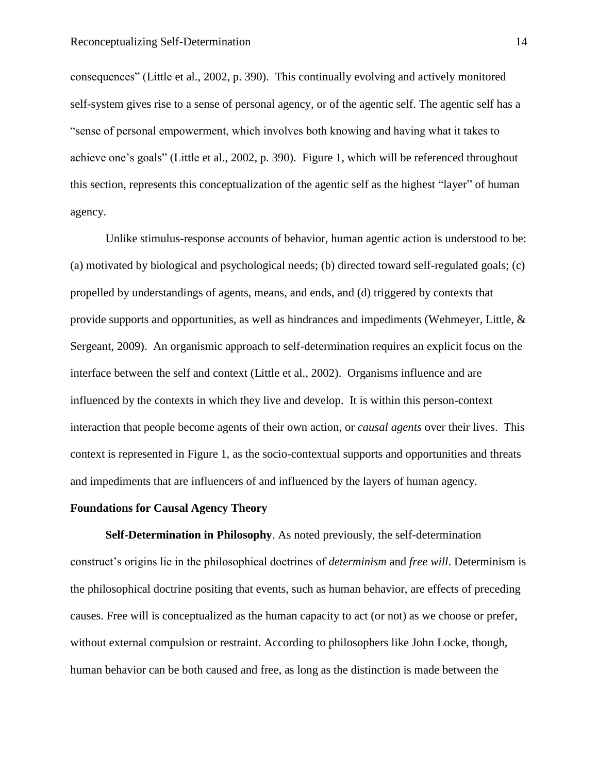consequences" (Little et al., 2002, p. 390). This continually evolving and actively monitored self-system gives rise to a sense of personal agency, or of the agentic self. The agentic self has a "sense of personal empowerment, which involves both knowing and having what it takes to achieve one's goals" (Little et al., 2002, p. 390). Figure 1, which will be referenced throughout this section, represents this conceptualization of the agentic self as the highest "layer" of human agency.

Unlike stimulus-response accounts of behavior, human agentic action is understood to be: (a) motivated by biological and psychological needs; (b) directed toward self-regulated goals; (c) propelled by understandings of agents, means, and ends, and (d) triggered by contexts that provide supports and opportunities, as well as hindrances and impediments (Wehmeyer, Little, & Sergeant, 2009). An organismic approach to self-determination requires an explicit focus on the interface between the self and context (Little et al., 2002). Organisms influence and are influenced by the contexts in which they live and develop. It is within this person-context interaction that people become agents of their own action, or *causal agents* over their lives. This context is represented in Figure 1, as the socio-contextual supports and opportunities and threats and impediments that are influencers of and influenced by the layers of human agency.

#### **Foundations for Causal Agency Theory**

**Self-Determination in Philosophy**. As noted previously, the self-determination construct's origins lie in the philosophical doctrines of *determinism* and *free will*. Determinism is the philosophical doctrine positing that events, such as human behavior, are effects of preceding causes. Free will is conceptualized as the human capacity to act (or not) as we choose or prefer, without external compulsion or restraint. According to philosophers like John Locke, though, human behavior can be both caused and free, as long as the distinction is made between the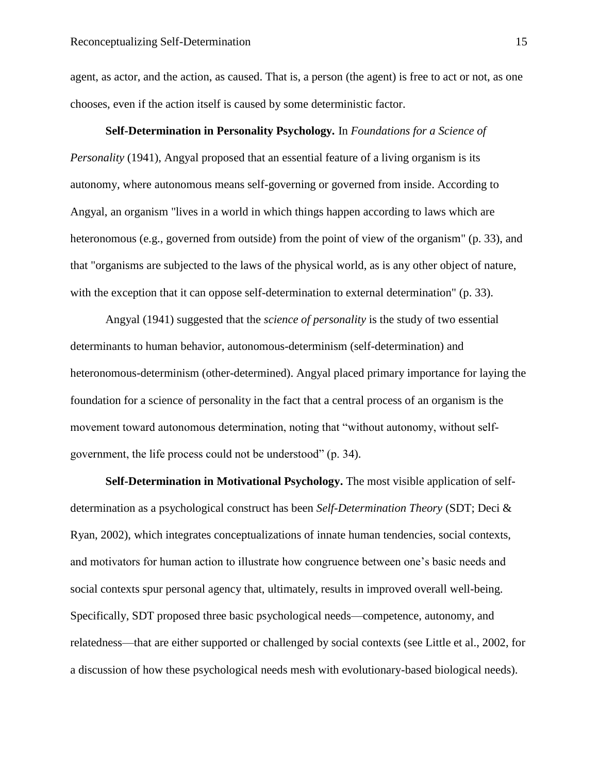agent, as actor, and the action, as caused. That is, a person (the agent) is free to act or not, as one chooses, even if the action itself is caused by some deterministic factor.

# **Self-Determination in Personality Psychology***.* In *Foundations for a Science of Personality* (1941), Angyal proposed that an essential feature of a living organism is its autonomy, where autonomous means self-governing or governed from inside. According to Angyal, an organism "lives in a world in which things happen according to laws which are heteronomous (e.g., governed from outside) from the point of view of the organism" (p. 33), and that "organisms are subjected to the laws of the physical world, as is any other object of nature, with the exception that it can oppose self-determination to external determination" (p. 33).

Angyal (1941) suggested that the *science of personality* is the study of two essential determinants to human behavior, autonomous-determinism (self-determination) and heteronomous-determinism (other-determined). Angyal placed primary importance for laying the foundation for a science of personality in the fact that a central process of an organism is the movement toward autonomous determination, noting that "without autonomy, without selfgovernment, the life process could not be understood" (p. 34).

**Self-Determination in Motivational Psychology.** The most visible application of selfdetermination as a psychological construct has been *Self-Determination Theory* (SDT; Deci & Ryan, 2002), which integrates conceptualizations of innate human tendencies, social contexts, and motivators for human action to illustrate how congruence between one's basic needs and social contexts spur personal agency that, ultimately, results in improved overall well-being. Specifically, SDT proposed three basic psychological needs—competence, autonomy, and relatedness—that are either supported or challenged by social contexts (see Little et al., 2002, for a discussion of how these psychological needs mesh with evolutionary-based biological needs).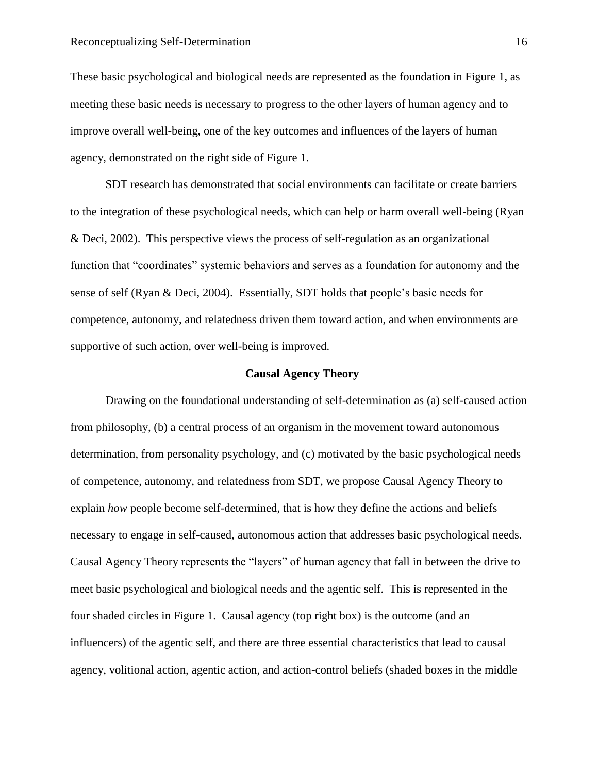#### Reconceptualizing Self-Determination 16

These basic psychological and biological needs are represented as the foundation in Figure 1, as meeting these basic needs is necessary to progress to the other layers of human agency and to improve overall well-being, one of the key outcomes and influences of the layers of human agency, demonstrated on the right side of Figure 1.

SDT research has demonstrated that social environments can facilitate or create barriers to the integration of these psychological needs, which can help or harm overall well-being (Ryan & Deci, 2002). This perspective views the process of self-regulation as an organizational function that "coordinates" systemic behaviors and serves as a foundation for autonomy and the sense of self (Ryan & Deci, 2004). Essentially, SDT holds that people's basic needs for competence, autonomy, and relatedness driven them toward action, and when environments are supportive of such action, over well-being is improved.

#### **Causal Agency Theory**

Drawing on the foundational understanding of self-determination as (a) self-caused action from philosophy, (b) a central process of an organism in the movement toward autonomous determination, from personality psychology, and (c) motivated by the basic psychological needs of competence, autonomy, and relatedness from SDT, we propose Causal Agency Theory to explain *how* people become self-determined, that is how they define the actions and beliefs necessary to engage in self-caused, autonomous action that addresses basic psychological needs. Causal Agency Theory represents the "layers" of human agency that fall in between the drive to meet basic psychological and biological needs and the agentic self. This is represented in the four shaded circles in Figure 1. Causal agency (top right box) is the outcome (and an influencers) of the agentic self, and there are three essential characteristics that lead to causal agency, volitional action, agentic action, and action-control beliefs (shaded boxes in the middle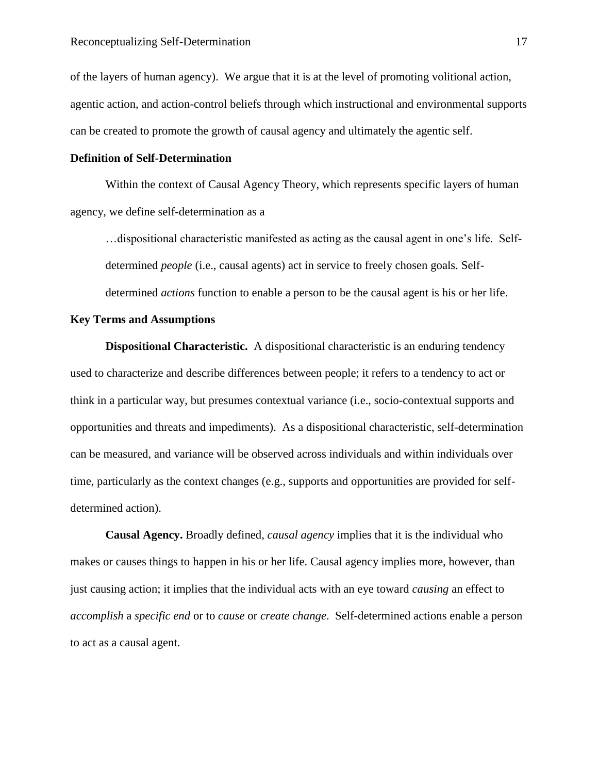of the layers of human agency). We argue that it is at the level of promoting volitional action, agentic action, and action-control beliefs through which instructional and environmental supports can be created to promote the growth of causal agency and ultimately the agentic self.

#### **Definition of Self-Determination**

Within the context of Causal Agency Theory, which represents specific layers of human agency, we define self-determination as a

…dispositional characteristic manifested as acting as the causal agent in one's life. Selfdetermined *people* (i.e., causal agents) act in service to freely chosen goals. Selfdetermined *actions* function to enable a person to be the causal agent is his or her life.

#### **Key Terms and Assumptions**

**Dispositional Characteristic.** A dispositional characteristic is an enduring tendency used to characterize and describe differences between people; it refers to a tendency to act or think in a particular way, but presumes contextual variance (i.e., socio-contextual supports and opportunities and threats and impediments). As a dispositional characteristic, self-determination can be measured, and variance will be observed across individuals and within individuals over time, particularly as the context changes (e.g., supports and opportunities are provided for selfdetermined action).

**Causal Agency.** Broadly defined, *causal agency* implies that it is the individual who makes or causes things to happen in his or her life. Causal agency implies more, however, than just causing action; it implies that the individual acts with an eye toward *causing* an effect to *accomplish* a *specific end* or to *cause* or *create change*. Self-determined actions enable a person to act as a causal agent.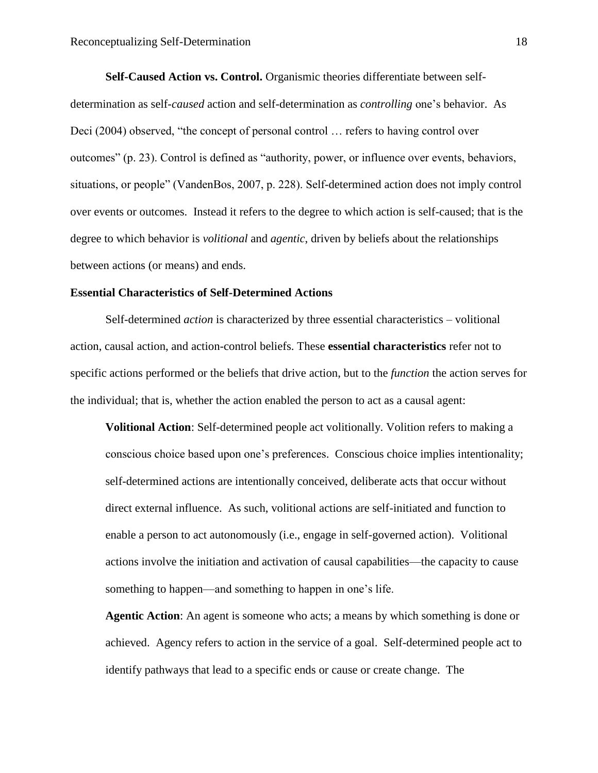**Self-Caused Action vs. Control.** Organismic theories differentiate between selfdetermination as self-*caused* action and self-determination as *controlling* one's behavior. As Deci (2004) observed, "the concept of personal control … refers to having control over outcomes" (p. 23). Control is defined as "authority, power, or influence over events, behaviors, situations, or people" (VandenBos, 2007, p. 228). Self-determined action does not imply control over events or outcomes. Instead it refers to the degree to which action is self-caused; that is the degree to which behavior is *volitional* and *agentic*, driven by beliefs about the relationships between actions (or means) and ends.

#### **Essential Characteristics of Self-Determined Actions**

Self-determined *action* is characterized by three essential characteristics – volitional action, causal action, and action-control beliefs. These **essential characteristics** refer not to specific actions performed or the beliefs that drive action, but to the *function* the action serves for the individual; that is, whether the action enabled the person to act as a causal agent:

**Volitional Action**: Self-determined people act volitionally. Volition refers to making a conscious choice based upon one's preferences. Conscious choice implies intentionality; self-determined actions are intentionally conceived, deliberate acts that occur without direct external influence. As such, volitional actions are self-initiated and function to enable a person to act autonomously (i.e., engage in self-governed action). Volitional actions involve the initiation and activation of causal capabilities—the capacity to cause something to happen—and something to happen in one's life.

**Agentic Action**: An agent is someone who acts; a means by which something is done or achieved. Agency refers to action in the service of a goal. Self-determined people act to identify pathways that lead to a specific ends or cause or create change. The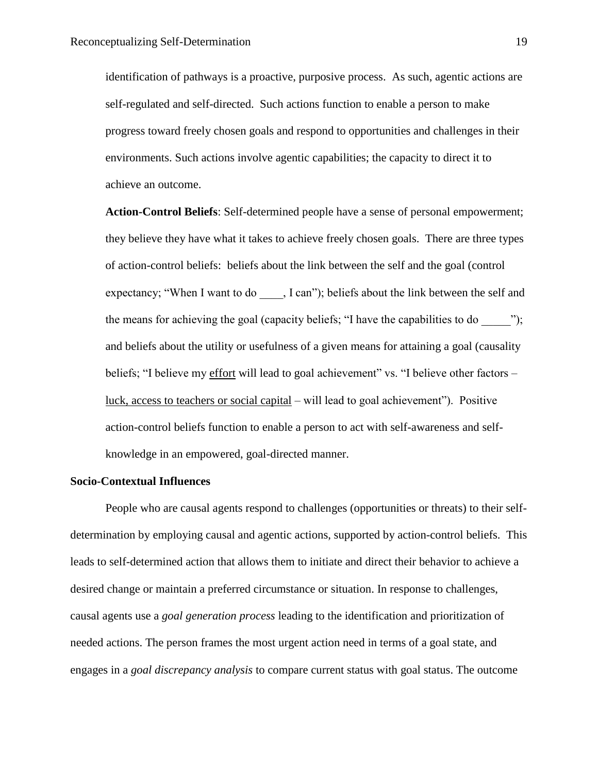identification of pathways is a proactive, purposive process. As such, agentic actions are self-regulated and self-directed. Such actions function to enable a person to make progress toward freely chosen goals and respond to opportunities and challenges in their environments. Such actions involve agentic capabilities; the capacity to direct it to achieve an outcome.

**Action-Control Beliefs**: Self-determined people have a sense of personal empowerment; they believe they have what it takes to achieve freely chosen goals. There are three types of action-control beliefs: beliefs about the link between the self and the goal (control expectancy; "When I want to do \_\_\_\_, I can"); beliefs about the link between the self and the means for achieving the goal (capacity beliefs; "I have the capabilities to do \_\_\_\_\_"); and beliefs about the utility or usefulness of a given means for attaining a goal (causality beliefs; "I believe my effort will lead to goal achievement" vs. "I believe other factors – luck, access to teachers or social capital – will lead to goal achievement"). Positive action-control beliefs function to enable a person to act with self-awareness and selfknowledge in an empowered, goal-directed manner.

#### **Socio-Contextual Influences**

People who are causal agents respond to challenges (opportunities or threats) to their selfdetermination by employing causal and agentic actions, supported by action-control beliefs. This leads to self-determined action that allows them to initiate and direct their behavior to achieve a desired change or maintain a preferred circumstance or situation. In response to challenges, causal agents use a *goal generation process* leading to the identification and prioritization of needed actions. The person frames the most urgent action need in terms of a goal state, and engages in a *goal discrepancy analysis* to compare current status with goal status. The outcome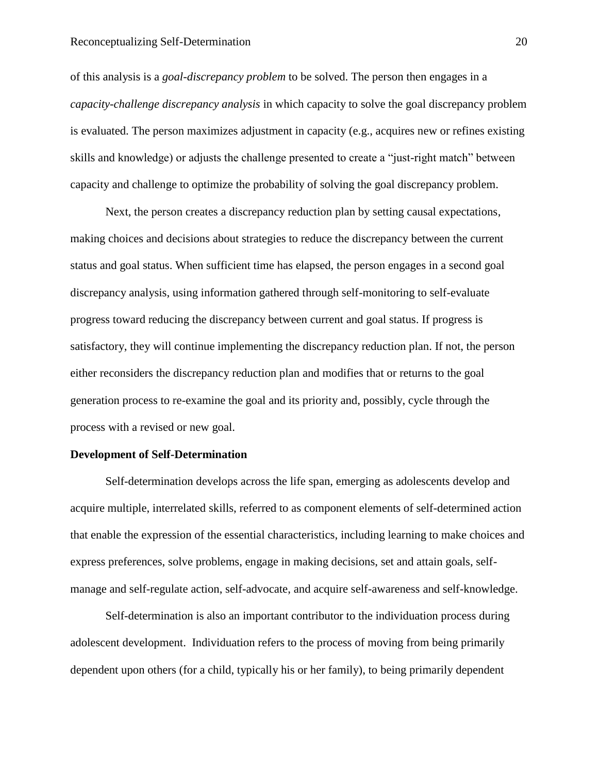#### Reconceptualizing Self-Determination 20

of this analysis is a *goal-discrepancy problem* to be solved. The person then engages in a *capacity-challenge discrepancy analysis* in which capacity to solve the goal discrepancy problem is evaluated. The person maximizes adjustment in capacity (e.g., acquires new or refines existing skills and knowledge) or adjusts the challenge presented to create a "just-right match" between capacity and challenge to optimize the probability of solving the goal discrepancy problem.

Next, the person creates a discrepancy reduction plan by setting causal expectations, making choices and decisions about strategies to reduce the discrepancy between the current status and goal status. When sufficient time has elapsed, the person engages in a second goal discrepancy analysis, using information gathered through self-monitoring to self-evaluate progress toward reducing the discrepancy between current and goal status. If progress is satisfactory, they will continue implementing the discrepancy reduction plan. If not, the person either reconsiders the discrepancy reduction plan and modifies that or returns to the goal generation process to re-examine the goal and its priority and, possibly, cycle through the process with a revised or new goal.

#### **Development of Self-Determination**

Self-determination develops across the life span, emerging as adolescents develop and acquire multiple, interrelated skills, referred to as component elements of self-determined action that enable the expression of the essential characteristics, including learning to make choices and express preferences, solve problems, engage in making decisions, set and attain goals, selfmanage and self-regulate action, self-advocate, and acquire self-awareness and self-knowledge.

Self-determination is also an important contributor to the individuation process during adolescent development. Individuation refers to the process of moving from being primarily dependent upon others (for a child, typically his or her family), to being primarily dependent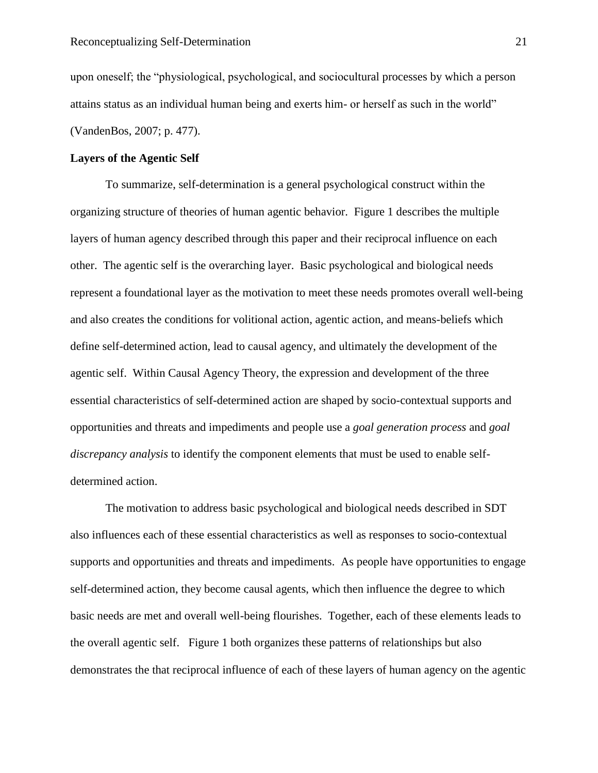upon oneself; the "physiological, psychological, and sociocultural processes by which a person attains status as an individual human being and exerts him- or herself as such in the world" (VandenBos, 2007; p. 477).

#### **Layers of the Agentic Self**

To summarize, self-determination is a general psychological construct within the organizing structure of theories of human agentic behavior. Figure 1 describes the multiple layers of human agency described through this paper and their reciprocal influence on each other. The agentic self is the overarching layer. Basic psychological and biological needs represent a foundational layer as the motivation to meet these needs promotes overall well-being and also creates the conditions for volitional action, agentic action, and means-beliefs which define self-determined action, lead to causal agency, and ultimately the development of the agentic self. Within Causal Agency Theory, the expression and development of the three essential characteristics of self-determined action are shaped by socio-contextual supports and opportunities and threats and impediments and people use a *goal generation process* and *goal discrepancy analysis* to identify the component elements that must be used to enable selfdetermined action.

The motivation to address basic psychological and biological needs described in SDT also influences each of these essential characteristics as well as responses to socio-contextual supports and opportunities and threats and impediments. As people have opportunities to engage self-determined action, they become causal agents, which then influence the degree to which basic needs are met and overall well-being flourishes. Together, each of these elements leads to the overall agentic self. Figure 1 both organizes these patterns of relationships but also demonstrates the that reciprocal influence of each of these layers of human agency on the agentic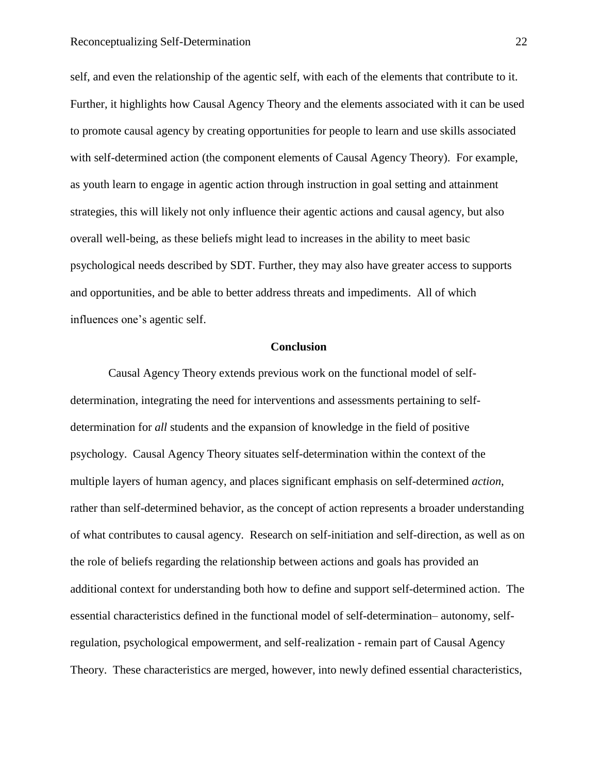self, and even the relationship of the agentic self, with each of the elements that contribute to it. Further, it highlights how Causal Agency Theory and the elements associated with it can be used to promote causal agency by creating opportunities for people to learn and use skills associated with self-determined action (the component elements of Causal Agency Theory). For example, as youth learn to engage in agentic action through instruction in goal setting and attainment strategies, this will likely not only influence their agentic actions and causal agency, but also overall well-being, as these beliefs might lead to increases in the ability to meet basic psychological needs described by SDT. Further, they may also have greater access to supports and opportunities, and be able to better address threats and impediments. All of which influences one's agentic self.

#### **Conclusion**

Causal Agency Theory extends previous work on the functional model of selfdetermination, integrating the need for interventions and assessments pertaining to selfdetermination for *all* students and the expansion of knowledge in the field of positive psychology. Causal Agency Theory situates self-determination within the context of the multiple layers of human agency, and places significant emphasis on self-determined *action*, rather than self-determined behavior, as the concept of action represents a broader understanding of what contributes to causal agency. Research on self-initiation and self-direction, as well as on the role of beliefs regarding the relationship between actions and goals has provided an additional context for understanding both how to define and support self-determined action. The essential characteristics defined in the functional model of self-determination– autonomy, selfregulation, psychological empowerment, and self-realization - remain part of Causal Agency Theory. These characteristics are merged, however, into newly defined essential characteristics,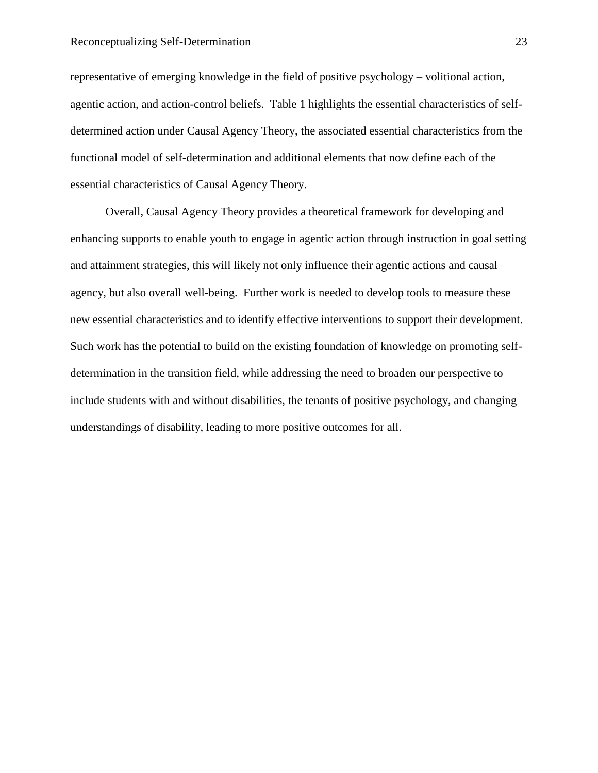#### Reconceptualizing Self-Determination 23

representative of emerging knowledge in the field of positive psychology – volitional action, agentic action, and action-control beliefs. Table 1 highlights the essential characteristics of selfdetermined action under Causal Agency Theory, the associated essential characteristics from the functional model of self-determination and additional elements that now define each of the essential characteristics of Causal Agency Theory.

Overall, Causal Agency Theory provides a theoretical framework for developing and enhancing supports to enable youth to engage in agentic action through instruction in goal setting and attainment strategies, this will likely not only influence their agentic actions and causal agency, but also overall well-being. Further work is needed to develop tools to measure these new essential characteristics and to identify effective interventions to support their development. Such work has the potential to build on the existing foundation of knowledge on promoting selfdetermination in the transition field, while addressing the need to broaden our perspective to include students with and without disabilities, the tenants of positive psychology, and changing understandings of disability, leading to more positive outcomes for all.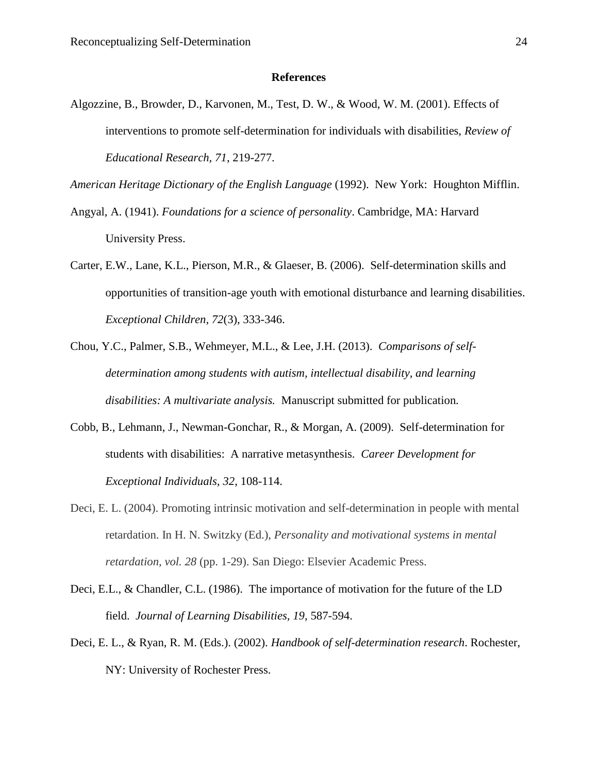#### **References**

Algozzine, B., Browder, D., Karvonen, M., Test, D. W., & Wood, W. M. (2001). Effects of interventions to promote self-determination for individuals with disabilities, *Review of Educational Research, 71*, 219-277.

*American Heritage Dictionary of the English Language* (1992). New York: Houghton Mifflin.

- Angyal, A. (1941). *Foundations for a science of personality*. Cambridge, MA: Harvard University Press.
- Carter, E.W., Lane, K.L., Pierson, M.R., & Glaeser, B. (2006). Self-determination skills and opportunities of transition-age youth with emotional disturbance and learning disabilities. *Exceptional Children, 72*(3), 333-346.
- Chou, Y.C., Palmer, S.B., Wehmeyer, M.L., & Lee, J.H. (2013). *Comparisons of selfdetermination among students with autism, intellectual disability, and learning disabilities: A multivariate analysis.* Manuscript submitted for publication*.*
- Cobb, B., Lehmann, J., Newman-Gonchar, R., & Morgan, A. (2009). Self-determination for students with disabilities: A narrative metasynthesis. *Career Development for Exceptional Individuals, 32*, 108-114.
- Deci, E. L. (2004). Promoting intrinsic motivation and self-determination in people with mental retardation. In H. N. Switzky (Ed.), *Personality and motivational systems in mental retardation, vol. 28* (pp. 1-29). San Diego: Elsevier Academic Press.
- Deci, E.L., & Chandler, C.L. (1986). The importance of motivation for the future of the LD field. *Journal of Learning Disabilities, 19*, 587-594.
- Deci, E. L., & Ryan, R. M. (Eds.). (2002). *Handbook of self-determination research*. Rochester, NY: University of Rochester Press.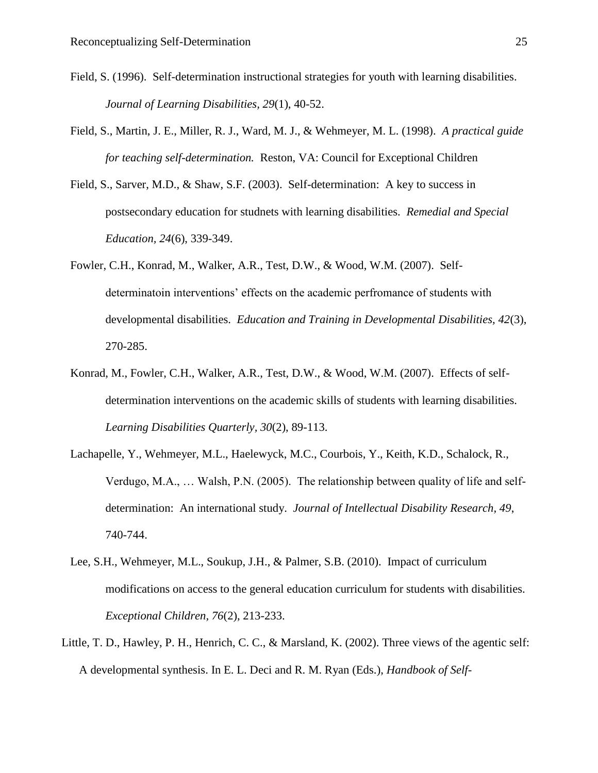- Field, S. (1996). Self-determination instructional strategies for youth with learning disabilities. *Journal of Learning Disabilities, 29*(1), 40-52.
- Field, S., Martin, J. E., Miller, R. J., Ward, M. J., & Wehmeyer, M. L. (1998). *A practical guide for teaching self-determination.* Reston, VA: Council for Exceptional Children
- Field, S., Sarver, M.D., & Shaw, S.F. (2003). Self-determination: A key to success in postsecondary education for studnets with learning disabilities. *Remedial and Special Education, 24*(6), 339-349.
- Fowler, C.H., Konrad, M., Walker, A.R., Test, D.W., & Wood, W.M. (2007). Selfdeterminatoin interventions' effects on the academic perfromance of students with developmental disabilities. *Education and Training in Developmental Disabilities, 42*(3), 270-285.
- Konrad, M., Fowler, C.H., Walker, A.R., Test, D.W., & Wood, W.M. (2007). Effects of selfdetermination interventions on the academic skills of students with learning disabilities. *Learning Disabilities Quarterly, 30*(2), 89-113.
- Lachapelle, Y., Wehmeyer, M.L., Haelewyck, M.C., Courbois, Y., Keith, K.D., Schalock, R., Verdugo, M.A., … Walsh, P.N. (2005). The relationship between quality of life and selfdetermination: An international study. *Journal of Intellectual Disability Research, 49*, 740-744.
- Lee, S.H., Wehmeyer, M.L., Soukup, J.H., & Palmer, S.B. (2010). Impact of curriculum modifications on access to the general education curriculum for students with disabilities. *Exceptional Children, 76*(2), 213-233.
- Little, T. D., Hawley, P. H., Henrich, C. C., & Marsland, K. (2002). Three views of the agentic self: A developmental synthesis. In E. L. Deci and R. M. Ryan (Eds.), *Handbook of Self-*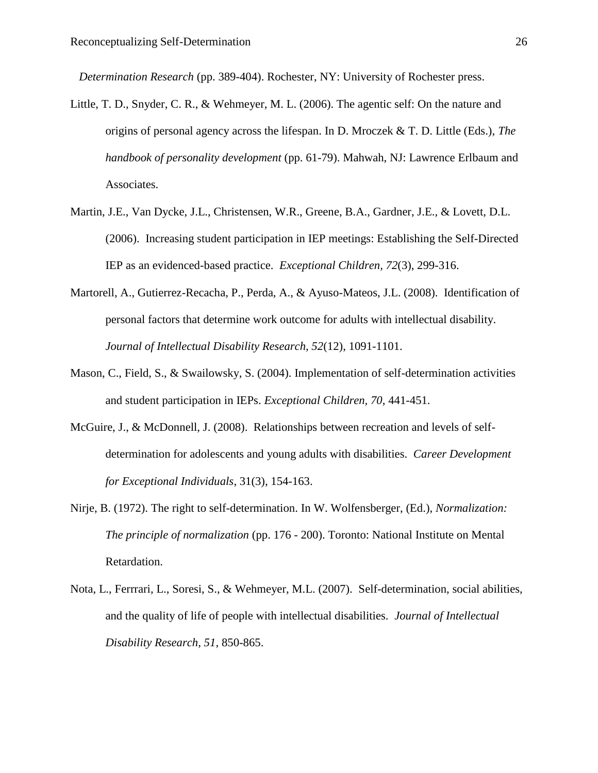*Determination Research* (pp. 389-404). Rochester, NY: University of Rochester press.

- Little, T. D., Snyder, C. R., & Wehmeyer, M. L. (2006). The agentic self: On the nature and origins of personal agency across the lifespan. In D. Mroczek & T. D. Little (Eds.), *The handbook of personality development* (pp. 61-79). Mahwah, NJ: Lawrence Erlbaum and Associates.
- Martin, J.E., Van Dycke, J.L., Christensen, W.R., Greene, B.A., Gardner, J.E., & Lovett, D.L. (2006). Increasing student participation in IEP meetings: Establishing the Self-Directed IEP as an evidenced-based practice. *Exceptional Children, 72*(3), 299-316.
- Martorell, A., Gutierrez-Recacha, P., Perda, A., & Ayuso-Mateos, J.L. (2008). Identification of personal factors that determine work outcome for adults with intellectual disability. *Journal of Intellectual Disability Research, 52*(12), 1091-1101.
- Mason, C., Field, S., & Swailowsky, S. (2004). Implementation of self-determination activities and student participation in IEPs. *Exceptional Children, 70*, 441-451.
- McGuire, J., & McDonnell, J. (2008). Relationships between recreation and levels of selfdetermination for adolescents and young adults with disabilities. *Career Development for Exceptional Individuals*, 31(3), 154-163.
- Nirje, B. (1972). The right to self-determination. In W. Wolfensberger, (Ed.), *Normalization: The principle of normalization* (pp. 176 - 200). Toronto: National Institute on Mental Retardation.
- Nota, L., Ferrrari, L., Soresi, S., & Wehmeyer, M.L. (2007). Self-determination, social abilities, and the quality of life of people with intellectual disabilities. *Journal of Intellectual Disability Research, 51*, 850-865.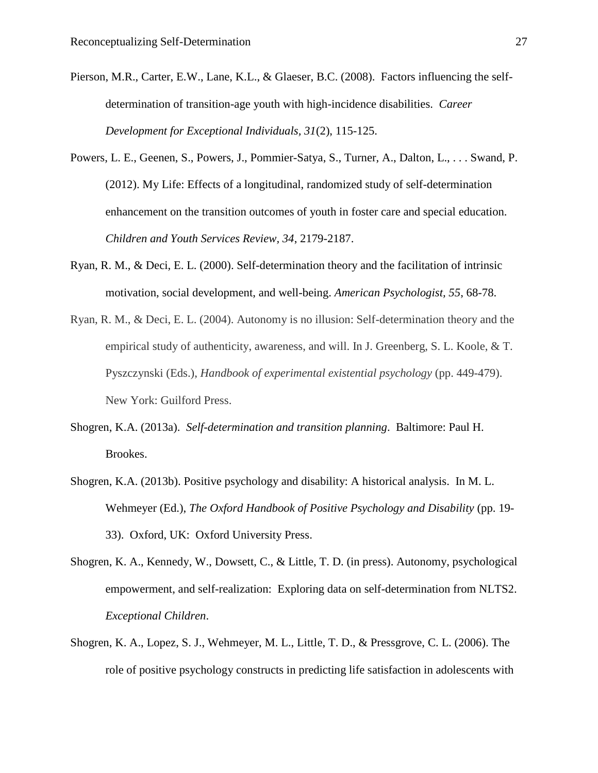- Pierson, M.R., Carter, E.W., Lane, K.L., & Glaeser, B.C. (2008). Factors influencing the selfdetermination of transition-age youth with high-incidence disabilities. *Career Development for Exceptional Individuals, 31*(2), 115-125.
- Powers, L. E., Geenen, S., Powers, J., Pommier-Satya, S., Turner, A., Dalton, L., . . . Swand, P. (2012). My Life: Effects of a longitudinal, randomized study of self-determination enhancement on the transition outcomes of youth in foster care and special education. *Children and Youth Services Review, 34*, 2179-2187.
- Ryan, R. M., & Deci, E. L. (2000). Self-determination theory and the facilitation of intrinsic motivation, social development, and well-being. *American Psychologist, 55*, 68-78.
- Ryan, R. M., & Deci, E. L. (2004). Autonomy is no illusion: Self-determination theory and the empirical study of authenticity, awareness, and will. In J. Greenberg, S. L. Koole, & T. Pyszczynski (Eds.), *Handbook of experimental existential psychology* (pp. 449-479). New York: Guilford Press.
- Shogren, K.A. (2013a). *Self-determination and transition planning*. Baltimore: Paul H. Brookes.
- Shogren, K.A. (2013b). Positive psychology and disability: A historical analysis. In M. L. Wehmeyer (Ed.), *The Oxford Handbook of Positive Psychology and Disability* (pp. 19- 33). Oxford, UK: Oxford University Press.
- Shogren, K. A., Kennedy, W., Dowsett, C., & Little, T. D. (in press). Autonomy, psychological empowerment, and self-realization: Exploring data on self-determination from NLTS2. *Exceptional Children*.
- Shogren, K. A., Lopez, S. J., Wehmeyer, M. L., Little, T. D., & Pressgrove, C. L. (2006). The role of positive psychology constructs in predicting life satisfaction in adolescents with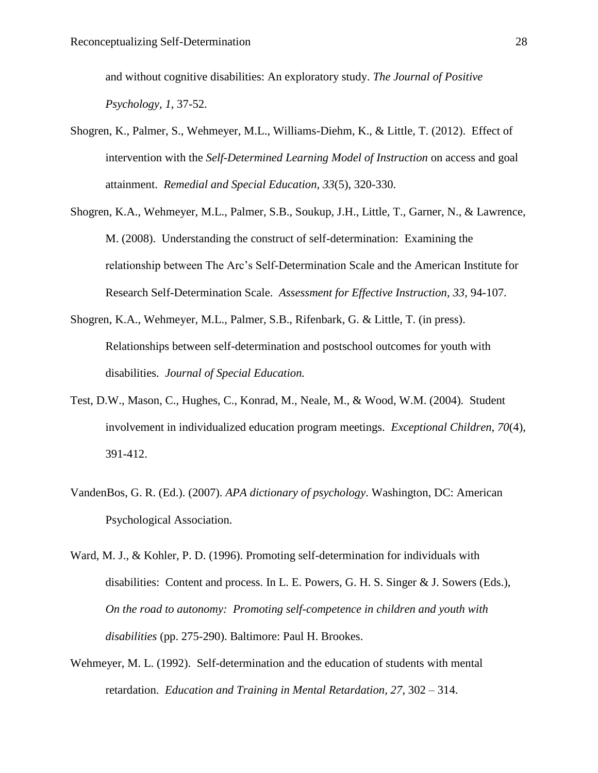and without cognitive disabilities: An exploratory study. *The Journal of Positive Psychology, 1*, 37-52.

- Shogren, K., Palmer, S., Wehmeyer, M.L., Williams-Diehm, K., & Little, T. (2012). Effect of intervention with the *Self-Determined Learning Model of Instruction* on access and goal attainment. *Remedial and Special Education, 33*(5), 320-330.
- Shogren, K.A., Wehmeyer, M.L., Palmer, S.B., Soukup, J.H., Little, T., Garner, N., & Lawrence, M. (2008). Understanding the construct of self-determination: Examining the relationship between The Arc's Self-Determination Scale and the American Institute for Research Self-Determination Scale. *Assessment for Effective Instruction, 33,* 94-107.
- Shogren, K.A., Wehmeyer, M.L., Palmer, S.B., Rifenbark, G. & Little, T. (in press). Relationships between self-determination and postschool outcomes for youth with disabilities. *Journal of Special Education.*
- Test, D.W., Mason, C., Hughes, C., Konrad, M., Neale, M., & Wood, W.M. (2004). Student involvement in individualized education program meetings. *Exceptional Children, 70*(4), 391-412.
- VandenBos, G. R. (Ed.). (2007). *APA dictionary of psychology*. Washington, DC: American Psychological Association.
- Ward, M. J., & Kohler, P. D. (1996). Promoting self-determination for individuals with disabilities: Content and process. In L. E. Powers, G. H. S. Singer & J. Sowers (Eds.), *On the road to autonomy: Promoting self-competence in children and youth with disabilities* (pp. 275-290). Baltimore: Paul H. Brookes.
- Wehmeyer, M. L. (1992). Self-determination and the education of students with mental retardation. *Education and Training in Mental Retardation, 27*, 302 – 314.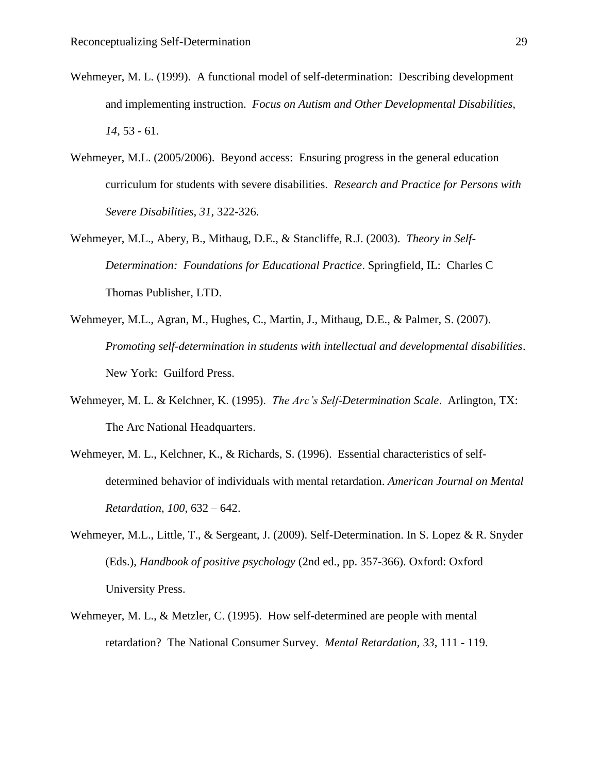- Wehmeyer, M. L. (1999). A functional model of self-determination: Describing development and implementing instruction. *Focus on Autism and Other Developmental Disabilities, 14*, 53 - 61.
- Wehmeyer, M.L. (2005/2006). Beyond access: Ensuring progress in the general education curriculum for students with severe disabilities. *Research and Practice for Persons with Severe Disabilities, 31,* 322-326.
- Wehmeyer, M.L., Abery, B., Mithaug, D.E., & Stancliffe, R.J. (2003). *Theory in Self-Determination: Foundations for Educational Practice*. Springfield, IL: Charles C Thomas Publisher, LTD.
- Wehmeyer, M.L., Agran, M., Hughes, C., Martin, J., Mithaug, D.E., & Palmer, S. (2007). *Promoting self-determination in students with intellectual and developmental disabilities*. New York: Guilford Press.
- Wehmeyer, M. L. & Kelchner, K. (1995). *The Arc's Self-Determination Scale*. Arlington, TX: The Arc National Headquarters.
- Wehmeyer, M. L., Kelchner, K., & Richards, S. (1996). Essential characteristics of selfdetermined behavior of individuals with mental retardation. *American Journal on Mental Retardation, 100*, 632 – 642.
- Wehmeyer, M.L., Little, T., & Sergeant, J. (2009). Self-Determination. In S. Lopez & R. Snyder (Eds.), *Handbook of positive psychology* (2nd ed., pp. 357-366). Oxford: Oxford University Press.
- Wehmeyer, M. L., & Metzler, C. (1995). How self-determined are people with mental retardation? The National Consumer Survey. *Mental Retardation, 33*, 111 - 119.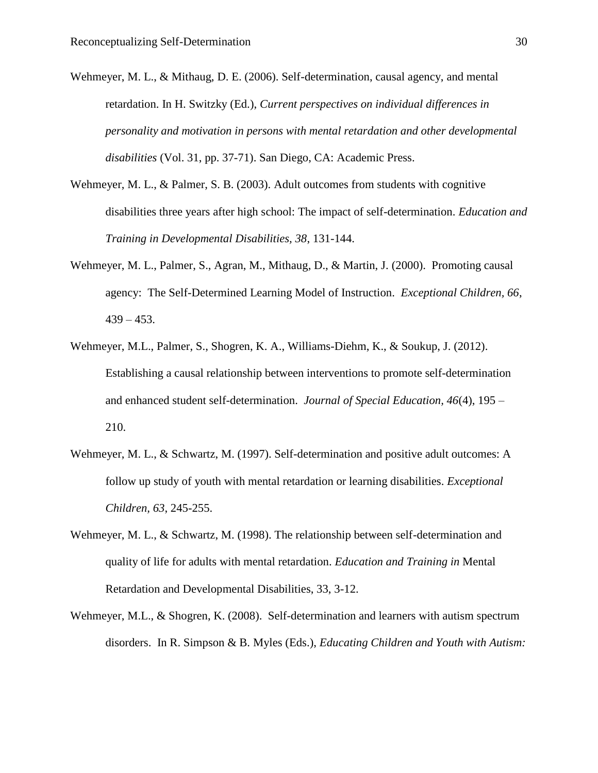- Wehmeyer, M. L., & Mithaug, D. E. (2006). Self-determination, causal agency, and mental retardation. In H. Switzky (Ed.), *Current perspectives on individual differences in personality and motivation in persons with mental retardation and other developmental disabilities* (Vol. 31, pp. 37-71). San Diego, CA: Academic Press.
- Wehmeyer, M. L., & Palmer, S. B. (2003). Adult outcomes from students with cognitive disabilities three years after high school: The impact of self-determination. *Education and Training in Developmental Disabilities, 38*, 131-144.
- Wehmeyer, M. L., Palmer, S., Agran, M., Mithaug, D., & Martin, J. (2000). Promoting causal agency: The Self-Determined Learning Model of Instruction. *Exceptional Children, 66*,  $439 - 453$ .
- Wehmeyer, M.L., Palmer, S., Shogren, K. A., Williams-Diehm, K., & Soukup, J. (2012). Establishing a causal relationship between interventions to promote self-determination and enhanced student self-determination. *Journal of Special Education, 46*(4), 195 – 210.
- Wehmeyer, M. L., & Schwartz, M. (1997). Self-determination and positive adult outcomes: A follow up study of youth with mental retardation or learning disabilities. *Exceptional Children, 63*, 245-255.
- Wehmeyer, M. L., & Schwartz, M. (1998). The relationship between self-determination and quality of life for adults with mental retardation. *Education and Training in* Mental Retardation and Developmental Disabilities, 33, 3-12.
- Wehmeyer, M.L., & Shogren, K. (2008). Self-determination and learners with autism spectrum disorders. In R. Simpson & B. Myles (Eds.), *Educating Children and Youth with Autism:*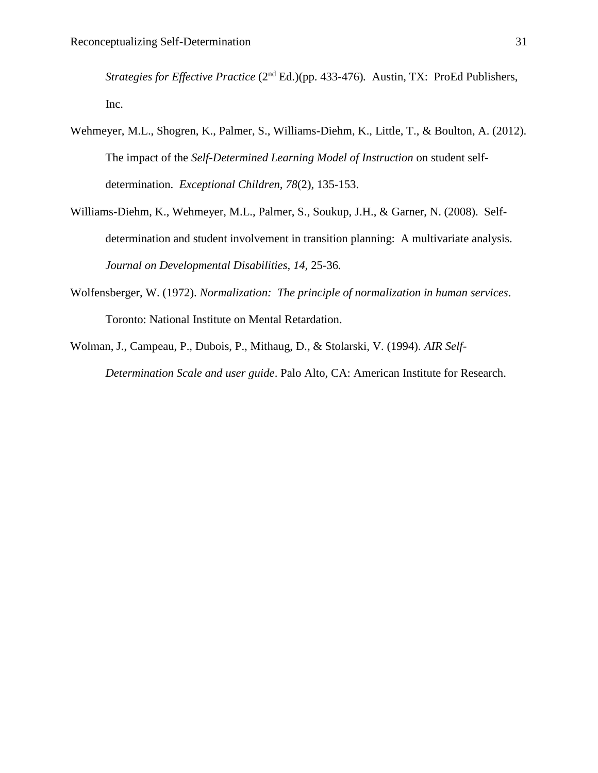*Strategies for Effective Practice* (2<sup>nd</sup> Ed.)(pp. 433-476). Austin, TX: ProEd Publishers, Inc.

- Wehmeyer, M.L., Shogren, K., Palmer, S., Williams-Diehm, K., Little, T., & Boulton, A. (2012). The impact of the *Self-Determined Learning Model of Instruction* on student selfdetermination. *Exceptional Children, 78*(2), 135-153.
- Williams-Diehm, K., Wehmeyer, M.L., Palmer, S., Soukup, J.H., & Garner, N. (2008). Selfdetermination and student involvement in transition planning: A multivariate analysis. *Journal on Developmental Disabilities, 14,* 25-36*.*
- Wolfensberger, W. (1972). *Normalization: The principle of normalization in human services*. Toronto: National Institute on Mental Retardation.
- Wolman, J., Campeau, P., Dubois, P., Mithaug, D., & Stolarski, V. (1994). *AIR Self-Determination Scale and user guide*. Palo Alto, CA: American Institute for Research.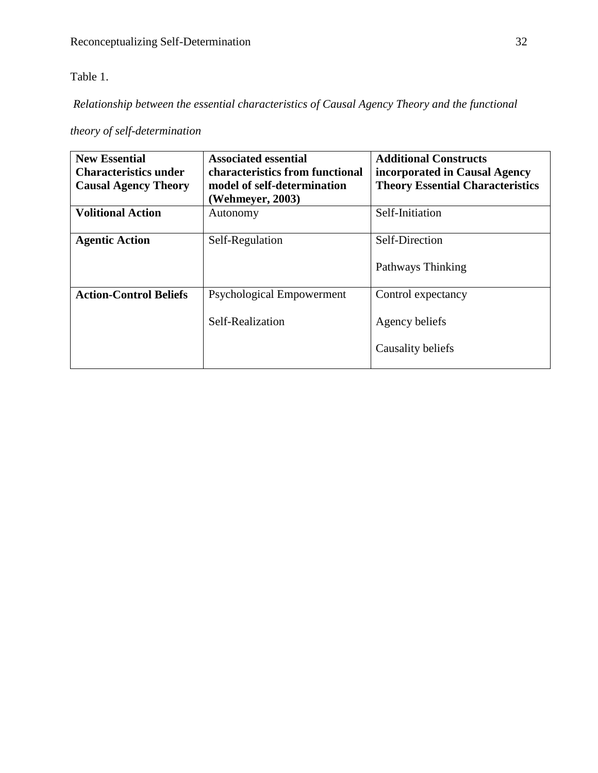# Table 1.

*Relationship between the essential characteristics of Causal Agency Theory and the functional* 

*theory of self-determination*

| <b>New Essential</b><br><b>Characteristics under</b><br><b>Causal Agency Theory</b> | <b>Associated essential</b><br>characteristics from functional<br>model of self-determination<br>(Wehmeyer, 2003) | <b>Additional Constructs</b><br>incorporated in Causal Agency<br><b>Theory Essential Characteristics</b> |
|-------------------------------------------------------------------------------------|-------------------------------------------------------------------------------------------------------------------|----------------------------------------------------------------------------------------------------------|
| <b>Volitional Action</b>                                                            | Autonomy                                                                                                          | Self-Initiation                                                                                          |
| <b>Agentic Action</b>                                                               | Self-Regulation                                                                                                   | Self-Direction<br>Pathways Thinking                                                                      |
| <b>Action-Control Beliefs</b>                                                       | <b>Psychological Empowerment</b><br>Self-Realization                                                              | Control expectancy<br>Agency beliefs<br>Causality beliefs                                                |